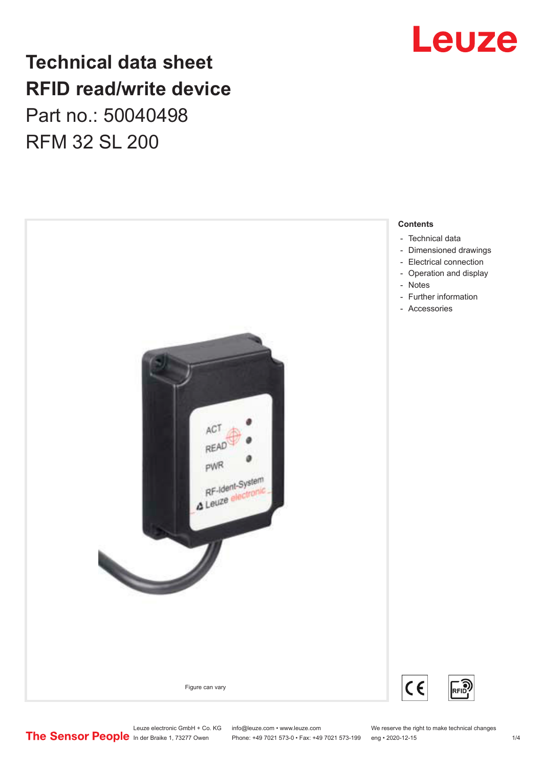## **Technical data sheet RFID read/write device** Part no.: 50040498 RFM 32 SL 200





- [Dimensioned drawings](#page-2-0)
- 

Leuze electronic GmbH + Co. KG info@leuze.com • www.leuze.com We reserve the right to make technical changes<br>
The Sensor People in der Braike 1, 73277 Owen Phone: +49 7021 573-0 • Fax: +49 7021 573-199 eng • 2020-12-15

Phone: +49 7021 573-0 • Fax: +49 7021 573-199 eng • 2020-12-15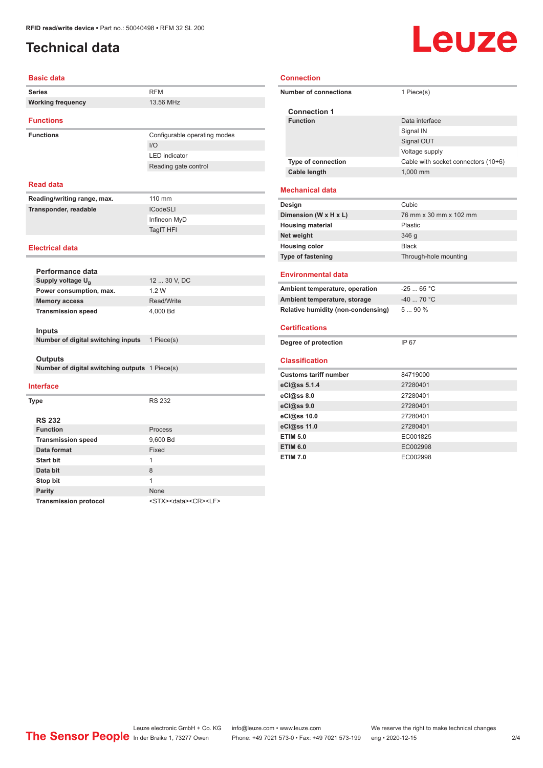### <span id="page-1-0"></span>**Technical data**

# Leuze

#### **Basic data**

| <b>Series</b>                                  | <b>RFM</b>                                 |  |
|------------------------------------------------|--------------------------------------------|--|
| <b>Working frequency</b>                       | 13.56 MHz                                  |  |
| <b>Functions</b>                               |                                            |  |
| <b>Functions</b>                               | Configurable operating modes               |  |
|                                                | $IVO$                                      |  |
|                                                | <b>LED</b> indicator                       |  |
|                                                | Reading gate control                       |  |
|                                                |                                            |  |
| <b>Read data</b>                               |                                            |  |
| Reading/writing range, max.                    | 110 mm                                     |  |
| Transponder, readable                          | <b>ICodeSLI</b>                            |  |
|                                                | Infineon MyD                               |  |
|                                                | TagIT HFI                                  |  |
| <b>Electrical data</b>                         |                                            |  |
|                                                |                                            |  |
| Performance data                               |                                            |  |
| Supply voltage U <sub>B</sub>                  | 12  30 V, DC                               |  |
| Power consumption, max.                        | 1.2W                                       |  |
| <b>Memory access</b>                           | Read/Write                                 |  |
| <b>Transmission speed</b>                      | 4,000 Bd                                   |  |
|                                                |                                            |  |
| <b>Inputs</b>                                  |                                            |  |
| Number of digital switching inputs             | 1 Piece(s)                                 |  |
| Outputs                                        |                                            |  |
| Number of digital switching outputs 1 Piece(s) |                                            |  |
|                                                |                                            |  |
| <b>Interface</b>                               |                                            |  |
| <b>Type</b>                                    | <b>RS 232</b>                              |  |
|                                                |                                            |  |
| <b>RS 232</b>                                  |                                            |  |
| <b>Function</b>                                | Process                                    |  |
| <b>Transmission speed</b>                      | 9,600 Bd                                   |  |
| Data format                                    | Fixed                                      |  |
| <b>Start bit</b>                               | $\mathbf{1}$                               |  |
| Data bit                                       | 8                                          |  |
| Stop bit                                       | 1                                          |  |
| <b>Parity</b>                                  | None                                       |  |
| <b>Transmission protocol</b>                   | <stx><data><cr><lf></lf></cr></data></stx> |  |

#### **Connection**

| <b>Number of connections</b>       | 1 Piece(s)                          |
|------------------------------------|-------------------------------------|
| <b>Connection 1</b>                |                                     |
| <b>Function</b>                    | Data interface                      |
|                                    | Signal IN                           |
|                                    | Signal OUT                          |
|                                    | Voltage supply                      |
| <b>Type of connection</b>          | Cable with socket connectors (10+6) |
| <b>Cable length</b>                | 1,000 mm                            |
| <b>Mechanical data</b>             |                                     |
| Design                             | Cubic                               |
| Dimension (W x H x L)              | 76 mm x 30 mm x 102 mm              |
| <b>Housing material</b>            | Plastic                             |
| Net weight                         | 346 g                               |
| <b>Housing color</b>               | <b>Black</b>                        |
| Type of fastening                  | Through-hole mounting               |
| <b>Environmental data</b>          |                                     |
| Ambient temperature, operation     | $-2565 °C$                          |
| Ambient temperature, storage       | $-40$ 70 °C                         |
| Relative humidity (non-condensing) | $590\%$                             |
| <b>Certifications</b>              |                                     |
| Degree of protection               | IP 67                               |
| <b>Classification</b>              |                                     |
| <b>Customs tariff number</b>       | 84719000                            |
| eCl@ss 5.1.4                       | 27280401                            |
| eCl@ss 8.0                         | 27280401                            |
|                                    |                                     |

| eCl@ss 5.1.4    | 27280401 |
|-----------------|----------|
| eCl@ss 8.0      | 27280401 |
| eCl@ss 9.0      | 27280401 |
| eCl@ss 10.0     | 27280401 |
| eCl@ss 11.0     | 27280401 |
| <b>ETIM 5.0</b> | EC001825 |
| <b>ETIM 6.0</b> | EC002998 |
| <b>ETIM 7.0</b> | EC002998 |

Leuze electronic GmbH + Co. KG info@leuze.com • www.leuze.com We reserve the right to make technical changes ln der Braike 1, 73277 Owen Phone: +49 7021 573-0 • Fax: +49 7021 573-199 eng • 2020-12-15 2/4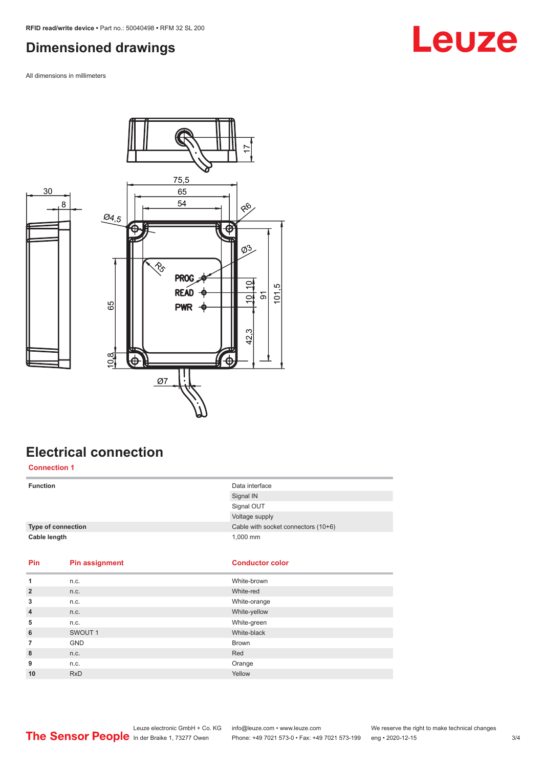### <span id="page-2-0"></span>**Dimensioned drawings**

All dimensions in millimeters



### **Electrical connection Connection 1**

| <b>Function</b>    |                       | Data interface                      |
|--------------------|-----------------------|-------------------------------------|
|                    |                       | Signal IN                           |
|                    |                       | Signal OUT                          |
|                    |                       | Voltage supply                      |
| Type of connection |                       | Cable with socket connectors (10+6) |
| Cable length       |                       | 1,000 mm                            |
|                    |                       |                                     |
| Pin                |                       | <b>Conductor color</b>              |
|                    | <b>Pin assignment</b> |                                     |
| 1                  | n.c.                  | White-brown                         |
| $\overline{2}$     | n.c.                  | White-red                           |
| 3                  | n.c.                  | White-orange                        |
| $\overline{4}$     | n.c.                  | White-yellow                        |
| 5                  | n.c.                  | White-green                         |
| 6                  | SWOUT 1               | White-black                         |
| $\overline{7}$     | <b>GND</b>            | Brown                               |
| 8                  | n.c.                  | Red                                 |
| 9                  | n.c.                  | Orange                              |
| 10                 | <b>RxD</b>            | Yellow                              |

## **Leuze**